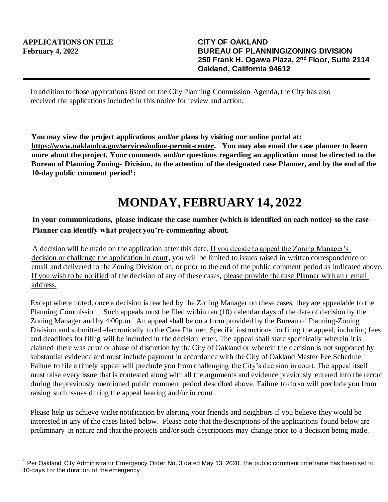In addition to those applications listed on the City Planning Commission Agenda, the City has also received the applications included in this notice for review and action.

**You may view the project applications and/or plans by visiting our online portal at: https://www.oaklandca.gov/services/online-permit-center. You may also email the case planner to learn more about the project. Your comments and/or questions regarding an application must be directed to the Bureau of Planning Zoning- Division, to the attention of the designated case Planner, and by the end of the 10-day public comment period<sup>1</sup> :**

## **MONDAY, FEBRUARY 14, 2022**

## **In your communications, please indicate the case number (which is identified on each notice) so the case Planner can identify what project you're commenting about.**

A decision will be made on the application after this date. If you decide to appeal the Zoning Manager's decision or challenge the application in court, you will be limited to issues raised in written correspondence or email and delivered to the Zoning Division on, or prior to the end of the public comment period as indicated above. If you wish to be notified of the decision of any of these cases, please provide the case Planner with an r email address.

Except where noted, once a decision is reached by the Zoning Manager on these cases, they are appealable to the Planning Commission. Such appeals must be filed within ten (10) calendar days of the date of decision by the Zoning Manager and by 4:00p.m. An appeal shall be on a form provided by the Bureau of Planning-Zoning Division and submitted electronically to the Case Planner. Specific instructions for filing the appeal, including fees and deadlines for filing will be included in the decision letter. The appeal shall state specifically wherein it is claimed there was error or abuse of discretion by the City of Oakland or wherein the decision is not supported by substantial evidence and must include payment in accordance with the City of Oakland Master Fee Schedule. Failure to file a timely appeal will preclude you from challenging the City's decision in court. The appeal itself must raise every issue that is contested along with all the arguments and evidence previously entered into the record during the previously mentioned public comment period described above. Failure to do so will preclude you from raising such issues during the appeal hearing and/or in court.

Please help us achieve wider notification by alerting your friends and neighbors if you believe they would be interested in any of the cases listed below. Please note that the descriptions of the applications found below are preliminary in nature and that the projects and/or such descriptions may change prior to a decision being made.

<sup>1</sup> Per Oakland City Administrator Emergency Order No. 3 dated May 13, 2020, the public comment timeframe has been set to 10-days for the duration of the emergency.